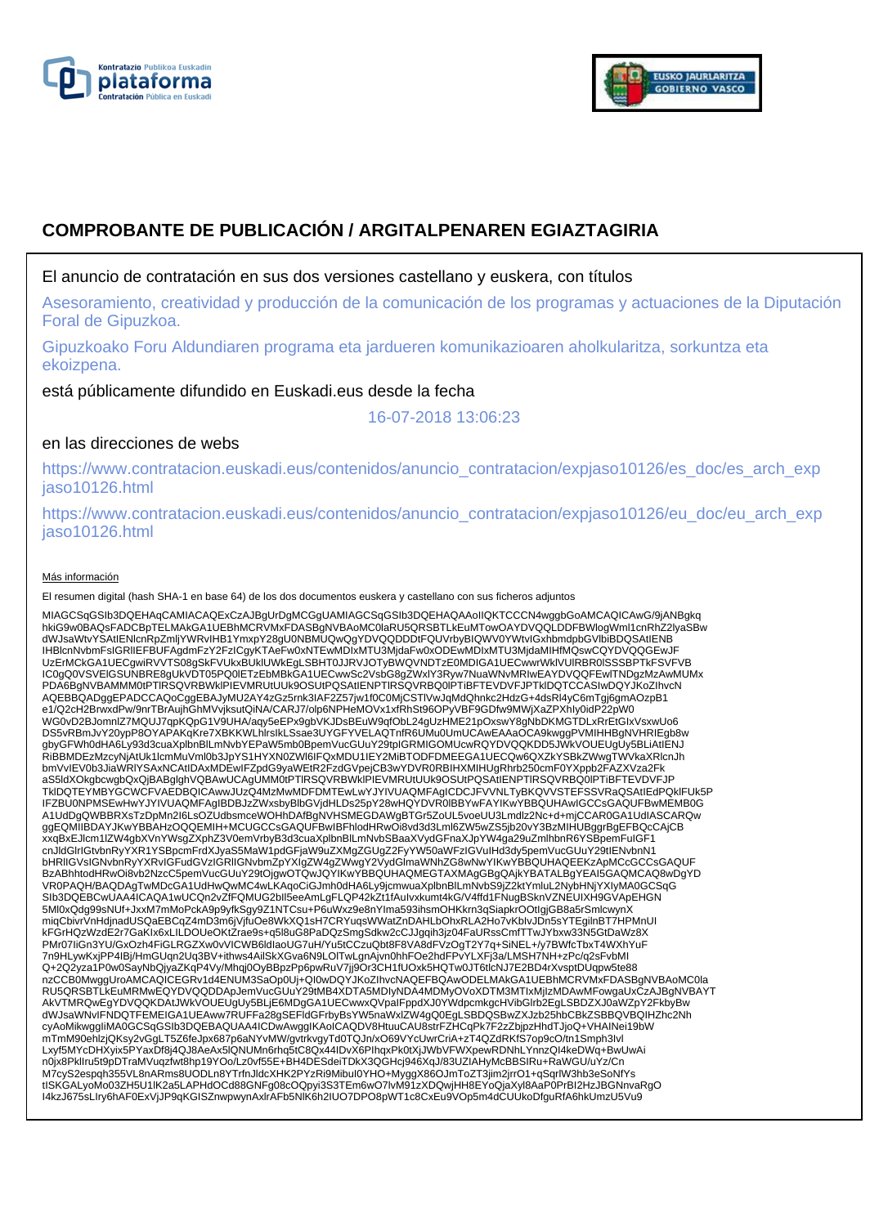



# **COMPROBANTE DE PUBLICACIÓN / ARGITALPENAREN EGIAZTAGIRIA**

# El anuncio de contratación en sus dos versiones castellano y euskera, con títulos

Asesoramiento, creatividad y producción de la comunicación de los programas y actuaciones de la Diputación Foral de Gipuzkoa.

Gipuzkoako Foru Aldundiaren programa eta jardueren komunikazioaren aholkularitza, sorkuntza eta ekoizpena.

está públicamente difundido en Euskadi.eus desde la fecha

16-07-2018 13:06:23

# en las direcciones de webs

https://www.contratacion.euskadi.eus/contenidos/anuncio\_contratacion/expjaso10126/es\_doc/es\_arch\_exp jaso10126.html

https://www.contratacion.euskadi.eus/contenidos/anuncio\_contratacion/expjaso10126/eu\_doc/eu\_arch\_exp jaso10126.html

### Más información

El resumen digital (hash SHA-1 en base 64) de los dos documentos euskera y castellano con sus ficheros adjuntos

MIAGCSqGSIb3DQEHAqCAMIACAQExCzAJBgUrDgMCGgUAMIAGCSqGSIb3DQEHAQAAoIIQKTCCCN4wggbGoAMCAQICAwG/9jANBgkq hkiG9w0BAQsFADCBpTELMAkGA1UEBhMCRVMxFDASBgNVBAoMC0laRU5QRSBTLkEuMTowOAYDVQQLDDFBWlogWml1cnRhZ2lyaSBw dWJsaWtvYSAtIENicnRpZmijYWRvIHB1YmxpY28gU0NBMUQwQgYDVQQDDDtFQUVrbyBIQWV0YWtvIGxhbmdpbGVlbiBDQSAtIENB<br>IHBlcnNvbmFsIGRIIEFBUFAgdmFzY2FzICgyKTAeFw0xNTEwMDIxMTU3MjdaFw0xODEwMDIxMTU3MjdaMIHfMQswCQYDVQQGEwJF UzErMCkGA1UECgwiRVVTS08gSkFVUkxBUklUWkEgLSBHT0JJRVJOTyBWQVNDTzE0MDIGA1UECwwrWklVUlRBR0lSSSBPTkFSVFVB IC0gQ0VSVElGSUNBRE8gUkVDT05PQ0lETzEbMBkGA1UECwwSc2VsbG8gZWxlY3Ryw7NuaWNvMRIwEAYDVQQFEwlTNDgzMzAwMUMx PDA6BgNVBAMMM0tPTIRSQVRBWkIPIEVMRUtUUk9OSUtPQSAtIENPTIRSQVRBQ0IPTiBFTEVDVFJPTkIDQTCCASIwDQYJKoZIhvcN AQEBBQADggEPADCCAQoCggEBAJyMU2AY4zGz5rnk3IAF2Z57jw1f0C0MjCSTlVwJqMdQhnkc2HdzG+4dsRl4yC6mTgj6gmAOzpB1 e1/Q2cH2BrwxdPw/9nrTBrAujhGhMVvjksutQiNA/CARJ7/olp6NPHeMOVx1xfRhSt96OPyVBF9GDfw9MWjXaZPXhIy0idP22pW0<br>WG0vD2BJomnlZ7MQUJ7qpKQpG1V9UHA/aqy5eEPx9gbVKJDsBEuW9qfObL24gUzHME21pOxswY8gNbDKMGTDLxRrEtGIxVsxwUo6 DS5vRBmJvY20ypP8OYAPAKqKre7XBKKWLhlrsIkLSsae3UYGFYVELAQTnfR6UMu0UmUCAwEAAaOCA9kwggPVMIHHBgNVHRIEgb8w gbyGFWh0dHA6Ly93d3cuaXplbnBlLmNvbYEPaW5mb0BpemVucGUuY29tpIGRMIGOMUcwRQYDVQQKDD5JWkVOUEUgUy5BLiAtIENJ<br>RiBBMDEzMzcyNjAtUk1lcmMuVml0b3JpYS1HYXN0ZWI6IFQxMDU1IEY2MiBTODFDMEEGA1UECQw6QXZkYSBkZWwgTWVkaXRlcnJh bmVvIEV0b3JiaWRlYSAxNCAtIDAxMDEwIFZpdG9yaWEtR2FzdGVpejCB3wYDVR0RBIHXMIHUgRhrb250cmF0YXppb2FAZXVza2Fk aS5ldXOkgbcwgbQxQjBABglghVQBAwUCAgUMM0tPTlRSQVRBWklPIEVMRUtUUk9OSUtPQSAtIENPTlRSQVRBQ0lPTiBFTEVDVFJP TklDQTEYMBYGCWCFVAEDBQICAwwJUzQ4MzMwMDFDMTEwLwYJYIVUAQMFAgICDCJFVVNLTyBKQVVSTEFSSVRaQSAtIEdPQklFUk5P IFZBU0NPMSEwHwYJYIVUAQMFAgIBDBJzZWxsbyBlbGVjdHLDs25pY28wHQYDVR0lBBYwFAYIKwYBBQUHAwIGCCsGAQUFBwMEMB0G<br>A1UdDgQWBBRXsTzDpMn2I6LsOZUdbsmceWOHhDAfBgNVHSMEGDAWgBTGr5ZoUL5voeUU3Lmdlz2Nc+d+mjCCAR0GA1UdIASCARQw ggEQMIIBDAYJKwYBBAHzOQQEMIH+MCUGCCsGAQUFBwIBFhlodHRwOi8vd3d3Lml6ZW5wZS5jb20vY3BzMIHUBggrBgEFBQcCAjCB xxqBxEJlcm1lZW4gbXVnYWsgZXphZ3V0emVrbyB3d3cuaXplbnBlLmNvbSBaaXVydGFnaXJpYW4ga29uZmlhbnR6YSBpemFuIGF1 cnJldGlrIGtvbnRyYXR1YSBpcmFrdXJyaS5MaW1pdGFjaW9uZXMgZGUgZ2FyYW50aWFzIGVuIHd3dy5pemVucGUuY29tIENvbnN1<br>bHRIIGVsIGNvbnRyYXRvIGFudGVzIGRIIGNvbmZpYXIgZW4gZWwgY2VydGlmaWNhZG8wNwYIKwYBBQUHAQEEKzApMCcGCCsGAQUF BzABhhtodHRwOi8vb2NzcC5pemVucGUuY29tOjgwOTQwJQYIKwYBBQUHAQMEGTAXMAgGBgQAjkYBATALBgYEAI5GAQMCAQ8wDgYD VR0PAQH/BAQDAgTwMDcGA1UdHwQwMC4wLKAqoCiGJmh0dHA6Ly9jcmwuaXplbnBlLmNvbS9jZ2ktYmluL2NybHNjYXIyMA0GCSqG SIb3DQEBCwUAA4ICAQA1wUCQn2vZfFQMUG2bIl5eeAmLgFLQP42kZt1fAuIvxkumt4kG/V4ffd1FNugBSknVZNEUIXH9GVApEHGN 5Ml0xQdg99sNUf+JxxM7mMoPckA9p9yfkSgy9Z1NTCsu+P6uWxz9e8nYIma593ihsmOHKkrn3qSiapkrOOtIgjGB8a5rSmlcwynX miqCbivrVnHdjnadUSQaEBCqZ4mD3m6jVjfuOe8WkXQ1sH7CRYuqsWWatZnDAHLbOhxRLA2Ho7vKbIvJDn5sYTEgilnBT7HPMnUI kFGrHQzWzdE2r7GaKIx6xLILDOUeOKtZrae9s+q5l8uG8PaDQzSmgSdkw2cCJJgqih3jz04FaURssCmfTTwJYbxw33N5GtDaWz8X PMr07IiGn3YU/GxOzh4FiGLRGZXw0vVICWB6ldIaoUG7uH/Yu5tCCzuQbt8F8VA8dFVzOgT2Y7q+SiNEL+/y7BWfcTbxT4WXhYuF 7n9HLywKxjPP4IBj/HmGUqn2Uq3BV+ithws4AilSkXGva6N9LOlTwLgnAjvn0hhFOe2hdFPvYLXFj3a/LMSH7NH+zPc/q2sFvbMI Q+2Q2yza1P0w0SayNbQjyaZKqP4Vy/Mhqj0OyBBpzPp6pwRuV7jj9Or3CH1fUOxk5HQTw0JT6tlcNJ7E2BD4rXvsptDUqpw5te88<br>nzCCB0MwggUroAMCAQICEGRv1d4ENUM3SaOp0Uj+QI0wDQYJKoZlhvcNAQEFBQAwODELMAkGA1UEBhMCRVMxFDASBgNVBAoMC0la RU5QRSBTLkEuMRMwEQYDVQQDDApJemVucGUuY29tMB4XDTA5MDIyNDA4MDMyOVoXDTM3MTIxMjIzMDAwMFowgaUxCzAJBgNVBAYT AkVTMRQwEgYDVQQKDAtJWkVOUEUgUy5BLjE6MDgGA1UECwwxQVpaIFppdXJ0YWdpcmkgcHVibGlrb2EgLSBDZXJ0aWZpY2FkbyBw<br>dWJsaWNvIFNDQTFEMEIGA1UEAww7RUFFa28gSEFIdGFrbyBsYW5naWxlZW4gQ0EgLSBDQSBwZXJzb25hbCBkZSBBQVBQIHZhc2Nh<br>cyAoMikwggliMA0GCSqG mTmM90ehlzjQKsy2vGgLT5Z6feJpx687p6aNYvMW/gvtrkvgyTd0TQJn/xO69VYcUwrCriA+zT4QZdRKfS7op9cO/tn1Smph3Ivl Lxyf5MYcDHXyix5PYaxDf8j4QJ8AeAx5lQNUMn6rhq5tC8Qx44IDvX6PIhqxPk0tXjJWbVFWXpewRDNhLYnnzQI4keDWq+BwUwAi n0jx8PklIru5t9pDTraMVuqzfwt8hp19YOo/Lz0vf55E+BH4DESdeiTDkX3QGHcj946XqJ/83UZIAHyMcBBSIRu+RaWGU/uYz/Cn M7cyS2espqh355VL8nARms8UODLn8YTrfnJldcXHK2PYzRi9MibuI0YHO+MyggX86OJmToZT3jim2jrrO1+qSqrlW3hb3eSoNfYs tISKGALyoMo03ZH5U1IK2a5LAPHdOCd88GNFg08cOQpyi3S3TEm6wO7lvM91zXDQwjHH8EYoQjaXyl8AaP0PrBI2HzJBGNnvaRgO<br>I4kzJ675sLIry6hAF0ExVjJP9qKGISZnwpwynAxIrAFb5NIK6h2IUO7DPO8pWT1c8CxEu9VOp5m4dCUUkoDfguRfA6hkUmzU5Vu9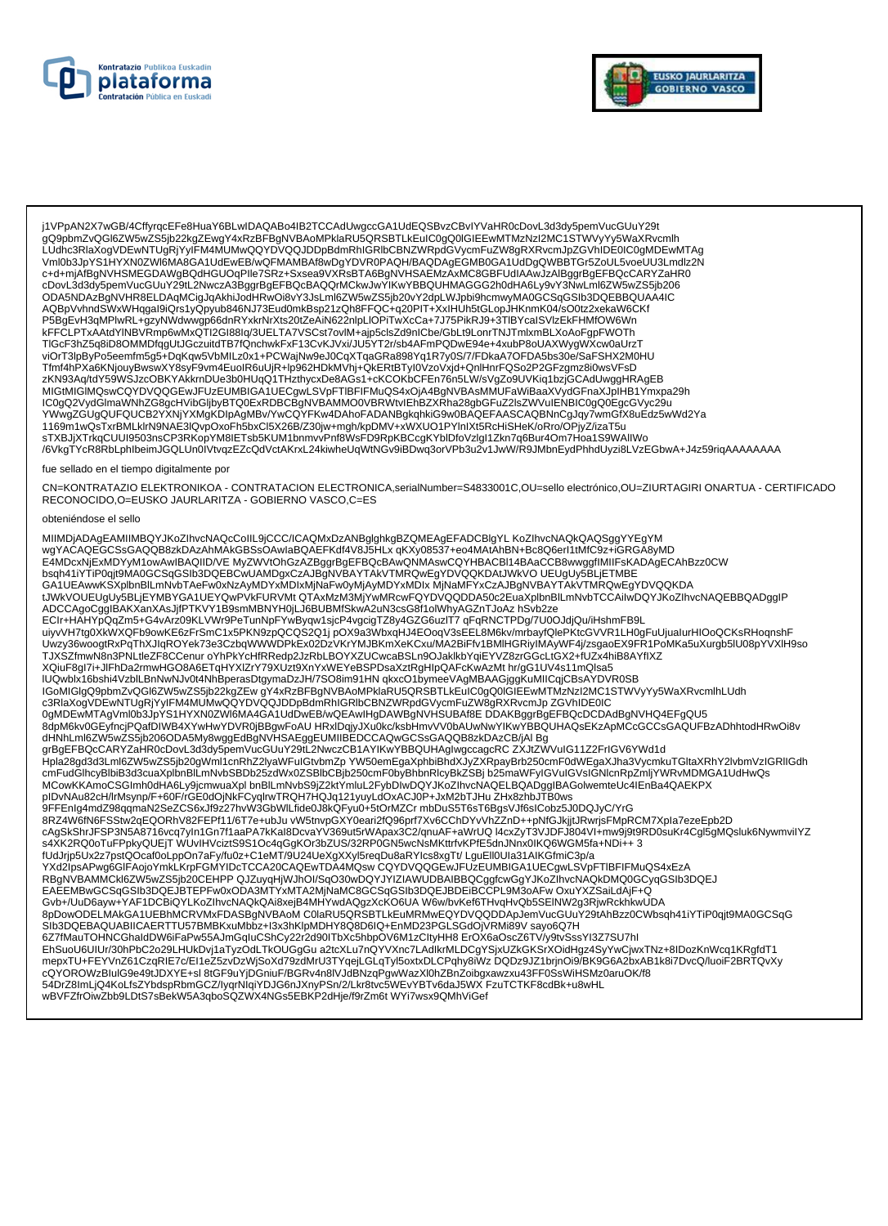



j1VPpAN2X7wGB/4CffyrqcEFe8HuaY6BLwIDAQABo4IB2TCCAdUwgccGA1UdEQSBvzCBvIYVaHR0cDovL3d3dy5pemVucGUuY29t<br>gQ9pbmZvQGI6ZW5wZS5jb22kgZEwgY4xRzBFBgNVBAoMPklaRU5QRSBTLkEuIC0gQ0IGIEEwMTMzNzI2MC1STWVyYy5WaXRvcmlh LUdhc3RlaXogVDEwNTUgRjYyIFM4MUMwQQYDVQQJDDpBdmRhIGRlbCBNZWRpdGVycmFuZW8gRXRvcmJpZGVhIDE0IC0gMDEwMTAg Vml0b3JpYS1HYXN0ZWI6MA8GA1UdEwEB/wQFMAMBAf8wDgYDVR0PAQH/BAQDAgEGMB0GA1UdDgQWBBTGr5ZoUL5voeUU3Lmdlz2N c+d+mjAfBgNVHSMEGDAWgBQdHGUOqPlle7SRz+Sxsea9VXRsBTA6BgNVHSAEMzAxMC8GBFUdIAAwJzAlBggrBgEFBQcCARYZaHR0 cDovL3d3dy5pemVucGUuY29tL2NwczA3BggrBgEFBQcBAQQrMCkwJwYIKwYBBQUHMAGGG2h0dHA6Ly9vY3NwLml6ZW5wZS5jb206 CD0023u30perinvuc0001729iL2NwC2A3bggipsperinguckm30u30cm7inwTBbQuDinMA0GGSqGStb3DQEBBQUAA4IC<br>AQBpVvhndSWxWHqgal9iQrs1yQpyub846NJ73Eud0mkBsp21zQh8FFQC+q20PIT+XxIHUh5tGLopJHKnmK04/sOGt2xekaW6CKf<br>AQBpVvhndSWxWHqgal9iQrs1yQpyu TIGcF3hZ5q8iD8OMMDfqgUtJGczuitdTB7fQnchwkFxF13CvKJVxi/JU5YT2r/sb4AFmPQDwE94e+4xubP8oUAXWygWXcw0aUrzT viOrT3lpByPo5eemfm5g5+DqKqw5VbMILz0x1+PCWajNw9eJ0CqXTqaGRa898Yq1R7y0S/7/FDkaA7OFDA5bs30e/SaFSHX2M0HU Tfmf4hPXa6KNjouyBwswXY8syF9vm4EuoIR6uUjR+lp962HDkMVhj+QkERtBTyI0VzoVxjd+QnlHnrFQSo2P2GFzgmz8i0wsVFsD zKN93Aq/tdY59WSJzcOBKYAKkrnDUe3b0HUqQ1THzthycxDe8AGs1+cKCOKbCFEn76n5LW/sVgZo9UVKiq1bzjGCAdUwggHRAgEB 21W93Applin 193W32COYDVQQGEWJFUZEUMBIGA1UECgWLSVpFTIBFIFMiQS4xOjA4BgNVBAsMMUFaWiBaaXVydGFnaXJpIHB1Ymxpa29h<br>IC0gQ2VydGlmaWNhZG8gcHVibGljbyBTQ0ExRDBCBgNVBAMMO0VBRWtvIEhBZXRha28gbGFuZ2lsZWVuIENBIC0gQ0EgcGVyc29u<br>YWwgZGUgQUFQUC sTXBJjXTrkqCUUI9503nsCP3RKopYM8IETsb5KUM1bnmvvPnf8WsFD9RpKBCcgKYbIDfoVzIgI1Zkn7q6Bur4Om7Hoa1S9WAIIWo /6VkgTYcR8RbLphlbeimJGQLUn0lVtvqzEZcQdVctAKrxL24kiwheUqWtNGv9iBDwq3orVPb3u2v1JwW/R9JMbnEydPhhdUyzi8LVzEGbwA+J4z59riqAAAAAAA

#### fue sellado en el tiempo digitalmente por

CN=KONTRATAZIO ELEKTRONIKOA - CONTRATACION ELECTRONICA,serialNumber=S4833001C,OU=sello electrónico,OU=ZIURTAGIRI ONARTUA - CERTIFICADO RECONOCIDO, O=EUSKO JAURLARITZA - GOBIERNO VASCO, C=ES

#### obteniéndose el sello

MIIMDjADAgEAMIIMBQYJKoZIhvcNAQcCoIIL9jCCC/ICAQMxDzANBglghkgBZQMEAgEFADCBlgYL KoZIhvcNAQkQAQSggYYEgYM MINDIANO AND ANNOLLING TRANSPORT ON A MARKET AND A SURFAINING THE RESORT AND A MANUFARY THAN A SURFACT AND RESORT THE RESORT OF THE RESORT OF THE RESORT OF THE RESORT OF THE RESORT OF THE RESORT OF THE RESORT OF THE RESORT ADCCAgoCggIBAKXanXAsJjfPTKVY1B9smMBNYH0jLJ6BUBMfSkwA2uN3csG8f1olWhyAGZnTJoAz hSvb2ze ECIr+HAHYpQqZm5+G4vArz09KLVWr9PeTunNpFYwByqw1sjcP4vgcigTZ8y4GZG6uzIT7 qFqRNCTPDg/7U0OJdjQu/iHshmFB9L ECITERATT PDQLATIST-0-4VAIL209NLT POLITIONS AND THE THINGTON OF THE THEORY OF THE THINGTON CONTRIBUTION OF DEATH<br>The UNIVERSITY OF DEATH AND THE TERM OF THE THINGTON OF THE UNIVERSITY OF THE UNIVERSITY OF THE UNIVERSITY OF A CONGRESS AND DESCRIPTION OF THE CONGRESS AND DESCRIPTION OF THE CONGRESS AND DESCRIPTION OF THE CONGRESS AND<br>- ΠΟΩΜΒΙΧ16bshi4VzbILBnNwNJv0t4NhBperasDtgymaDzJH/7SO8im91HN qkxcO1bymeeVAgMBAAGjggKuMIICqjCBsAYDVR0SB<br>- ΠΟΟΜ c3RlaXogVDEwNTUgRjYyIFM4MUMwQQYDVQQJDDpBdmRhIGRlbCBNZWRpdGVycmFuZW8gRXRvcmJpZGVhIDE0IC 0gMDEwMTAgVml0b3JpYS1HYXN0ZWl6MA4GA1UdDwEB/wQEAwlHgDAWBgNVHSUBAf8EDDAKBggrBgEFBQcDCDAdBgNVHQ4EFgQU5 edpM6kv0GEyfncjPQafDIWB4XYwHwYDVR0jBBgwFoAU\_HRxlDqjyJXu0kc/ksbHmvVV0bAUwNWYIKwYBBQUHAQsEKzApMCcGCCsGAQUFBzADhhtodHRwOi8v<br>dHNhLml6ZW5wZS5jb206ODA5My8wggEdBgNVHSAEggEUMIIBEDCCAQwGCSsGAQQB8zkDAzCB/jAl\_Bg<br>grBgEFBQcCARYZaHR0cDo MCowKKAmoCSGImh0dHA6Ly9jcmwuaXpl bnBlLmNvbS9jZ2ktYmluL2FybDIwDQYJKoZlhvcNAQELBQADggIBAGolwemteUc4lEnBa4QAEKPX pIDvNAu82cH/IrMsynp/F+60F/rGE0dOjNkFCyqIrwTRQH7HQJq121yuyLdOxACJ0P+JxM2bTJHu ZHx8zhbJTB0ws 9FFEnIg4mdZ98qqmaN2SeZCS6xJf9z27hvW3GbWlLfide0J8kQFyu0+5tOrMZCrmbDuS5T6sT6BgsVJf6sICobz5J0DQJyC/YrG 8RZ4W6fN6FSStw2qEQORhV82FEPf11/6T7e+ubJu vW5tnvpGXY0eari2fQ96prf7Xv6CChDYvVhZZnD++pNfGJkjjtJRwrjsFMpRCM7Xpla7ezeEpb2D cAgSkShrJFSP3N5A8716vcq7yIn1Gn7f1aaPA7kKaI8DcvaYV369ut5rWApax3C2/qnuAF+aWrUQ14cxZyT3VJDFJ804VI+mw9j9t9RD0suKr4Cgl5gMQsluk6NywmviIYZ on SAXK2RQ0oTuFPpkyQUEjT WUvIHVciztS9S1Oc4qGgKOr3bZUS/32RP0GN5wcNsMKttrfvKPfE5dnJNnx0lKQ6WGM5fa+NDi++ 3<br>fUdJrjp5Ux2z7pstQOcaf0oLppOn7aFy/fu0z+C1eMT/9U24UeXgXXyl5reqDu8aRYIcs8xgTt/ LguEll0Ula31AIKGfmiC3p/a<br>YXd2lpsAPwg6GIF A CONTROL AND CONTROL AND CONTROL AND CONTROL AND CONTROL AND CONTROL AND CONTROL AND CONTROL AND CONTROL AND CONTROL AND RESIDENCE OF A CONTROL AND CONTROL AND CONTROL AND CONTROL AND CONTROL AND CONTROL CONTROL CONTROL C Gvb+/UuD6ayw+YAF1DCBiQYLKoZIhvcNAQkQAi8xejB4MHYwdAQgzXcKO6UAWWbvKef6THvqHvQb5SEINW2g3RjwRckhkwUDA 8pDowODELMAkGA1UEBhMCRVMxFDASBgNVBAoM C0laRU5QRSBTLkEuMRMwEQYDVQQDDApJemVucGUuY29tAhBzz0CWbsqh41iYTiP0qjt9MA0GCSqG SIb3DQEBAQUABIICAERTTU57BMBKxuMbbz+I3x3hKlpMDHY8Q8D6IQ+EnMD23PGLSGdOjVRMi89V sayo6Q7H SIDSDUCEDAUADINGERT I TOSYBIWINDALSIAININGULES<br>EXPIMAUTOHNGENAIDINGER PRESAJIMQQUESING/V2DIPINGENDOVERITIES ETOX6aOScZ6TV/y9tvSsSYI3Z7SU7hI<br>ENSUOUGUIUr/30hPbC2o29LHUKDvj1aTyzOdLTkOUGgGu a2tcXLu7nQYVXnc7LAdlkrMLDCgYSjxUZkGK 54DrZ8ImLjQ4KoLfsZYbdspRbmGCZ/lyqrNlqiYDJG6nJXnyPSn/2/Lkr8tvc5WEvYBTv6daJ5WX FzuTCTKF8cdBk+u8wHL wBVFZfrOiwZbb9LDtS7sBekW5A3qboSQZWX4NGs5EBKP2dHje/f9rZm6t WYi7wsx9QMhViGef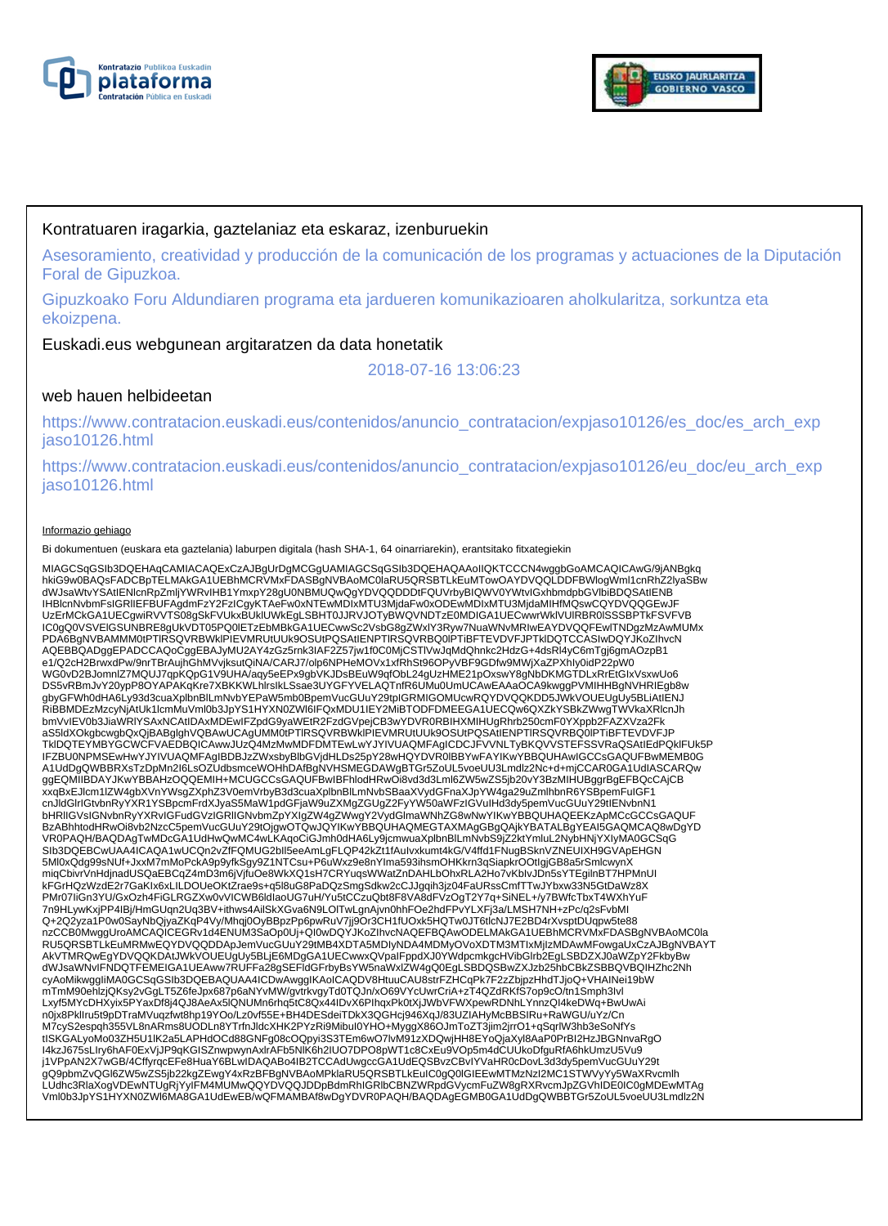



### Kontratuaren iragarkia, gaztelaniaz eta eskaraz, izenburuekin

Asesoramiento, creatividad y producción de la comunicación de los programas y actuaciones de la Diputación Foral de Gipuzkoa.

Gipuzkoako Foru Aldundiaren programa eta jardueren komunikazioaren aholkularitza, sorkuntza eta ekoizpena.

### Euskadi.eus webgunean argitaratzen da data honetatik

2018-07-16 13:06:23

### web hauen helbideetan

https://www.contratacion.euskadi.eus/contenidos/anuncio\_contratacion/expjaso10126/es\_doc/es\_arch\_exp jaso10126.html

https://www.contratacion.euskadi.eus/contenidos/anuncio\_contratacion/expjaso10126/eu\_doc/eu\_arch\_exp jaso10126.html

#### Informazio gehiago

Bi dokumentuen (euskara eta gaztelania) laburpen digitala (hash SHA-1, 64 oinarriarekin), erantsitako fitxategiekin

MIAGCSqGSIb3DQEHAqCAMIACAQExCzAJBgUrDgMCGgUAMIAGCSqGSIb3DQEHAQAAoIIQKTCCCN4wggbGoAMCAQICAwG/9jANBgkq<br>hkiG9w0BAQsFADCBpTELMAkGA1UEBhMCRVMxFDASBgNVBAoMC0laRU5QRSBTLkEuMTowOAYDVQQLDDFBWlogWml1cnRhZ2lyaSBw dWJsaWtvYSAtIENlcnRpZmljYWRvIHB1YmxpY28gU0NBMUQwQgYDVQQDDDtFQUVrbyBIQWV0YWtvIGxhbmdpbGVlbiBDQSAtIENB IHBlcnNvbmFsIGRlIEFBUFAgdmFzY2FzICgyKTAeFw0xNTEwMDIxMTU3MjdaFw0xODEwMDIxMTU3MjdaMIHfMQswCQYDVQQGEwJF UzErMCkGA1UECgwiRVVTS08gSkFVUkxBUklUWkEgLSBHT0JJRVJOTyBWQVNDTzE0MDIGA1UECwwrWklVUlRBR0lSSSBPTkFSVFVB IC0gQ0VSVElGSUNBRE8gUkVDT05PQ0lETzEbMBkGA1UECwwSc2VsbG8gZWxlY3Ryw7NuaWNvMRIwEAYDVQQFEwlTNDgzMzAwMUMx PDA6BgNVBAMMM0tPTIRSQVRBWkIPIEVMRUtUUk9OSUtPQSAtIENPTIRSQVRBQ0IPTiBFTEVDVFJPTklDQTCCASIwDQYJKoZIhvcN AQEBBQADggEPADCCAQoCggEBAJyMU2AY4zGz5rnk3IAF2Z57jw1f0C0MjCSTlVwJqMdQhnkc2HdzG+4dsRl4yC6mTgj6gmAOzpB1 e1/Q2cH2BrwxdPw/9nrTBrAujhGhMVvjksutQiNA/CARJ7/olp6NPHeMOVx1xfRhSt96OPyVBF9GDfw9MWjXaZPXhIy0idP22pW0<br>WG0vD2BJomnlZ7MQUJ7qpKQpG1V9UHA/aqy5eEPx9gbVKJDsBEuW9qfObL24gUzHME21pOxswY8gNbDKMGTDLxRrEtGIxVsxwUo6 DS5vRBmJvY20ypP8OYAPAKqKre7XBKKWLhlrsIkLSsae3UYGFYVELAQTnfR6UMu0UmUCAwEAAaOCA9kwggPVMIHHBgNVHRIEgb8w gbyGFWh0dHA6Ly93d3cuaXplbnBlLmNvbYEPaW5mb0BpemVucGUuY29tpIGRMIGOMUcwRQYDVQQKDD5JWKVOUEUgUy5BLiAtIENJ RiBBMDEzMzcyNjAtUk1lcmMuVml0b3JpYS1HYXN0ZWl6IFQxMDU1IEY2MiBTODFDMEEGA1UECQw6QXZkYSBkZWwgTWVkaXRlcnJh bmVvIEV0b3JiaWRIYSAxNCAtIDAxMDEwIFZpdG9yaWEtR2FzdGVpejCB3wYDVR0RBIHXMIHUgRhrb250cmF0YXppb2FAZXVza2Fk<br>aS5ldXOkgbcwgbQxQjBABgIghVQBAwUCAgUMM0tPTIRSQVRBWkIPIEVMRUtUUk9OSUtPQSAtIENPTIRSQVRBQ0IPTiBFTEVDVFJP<br>TkIDQTEYMBYGCWCFVAED IFZBU0NPMSEwHwYJYIVUAQMFAgIBDBJzZWxsbyBlbGVjdHLDs25pY28wHQYDVR0lBBYwFAYIKwYBBQUHAwIGCCsGAQUFBwMEMB0G A1UdDgQWBBRXsTzDpMn2I6LsOZUdbsmceWOHhDAfBgNVHSMEGDAWgBTGr5ZoUL5voeUU3Lmdlz2Nc+d+mjCCAR0GA1UdIASCARQw ggEQMIIBDAYJKwYBBAHzOQQEMIH+MCUGCCsGAQUFBwIBFhlodHRwOi8vd3d3Lml6ZW5wZS5jb20vY3BzMIHUBggrBgEFBQcCAjCB xxqBxEJlcm1lZW4gbXVnYWsgZXphZ3V0emVrbyB3d3cuaXplbnBlLmNvbSBaaXVydGFnaXJpYW4ga29uZmlhbnR6YSBpemFuIGF1 cnJldGlrIGtvbnRyYXR1YSBpcmFrdXJyaS5MaW1pdGFjaW9uZXMgZGUgZ2FyYW50aWFzIGVuIHd3dy5pemVucGUuY29tIENvbnN1 bHRlIGVsIGNvbnRyYXRvIGFudGVzIGRlIGNvbmZpYXIgZW4gZWwgY2VydGlmaWNhZG8wNwYIKwYBBQUHAQEEKzApMCcGCCsGAQUF BzABhhtodHRwOi8vb2NzcC5pemVucGUuY29tOjgwOTQwJQYIKwYBBQUHAQMEGTAXMAgGBgQAjkYBATALBgYEAI5GAQMCAQ8wDgYD<br>VR0PAQH/BAQDAgTwMDcGA1UdHwQwMC4wLKAqoCiGJmh0dHA6Ly9jcmwuaXplbnBlLmNvbS9jZ2ktYmluL2NybHNjYXIyMA0GCSqG SIb3DQEBCwUAA4ICAQA1wUCQn2vZfFQMUG2bIl5eeAmLgFLQP42kZt1fAuIvxkumt4kG/V4ffd1FNugBSknVZNEUIXH9GVApEHGN 5Ml0xQdg99sNUf+JxxM7mMoPckA9p9yfkSgy9Z1NTCsu+P6uWxz9e8nYIma593ihsmOHKkrn3qSiapkrOOtIgjGB8a5rSmlcwynX miqCbivrVnHdjnadUSQaEBCqZ4mD3m6jVjfuOe8WkXQ1sH7CRYuqsWWatZnDAHLbOhxRLA2Ho7vKbIvJDn5sYTEgilnBT7HPMnUI kFGrHQzWzdE2r7GaKIx6xLILDOUeOKtZrae9s+q5l8uG8PaDQzSmgSdkw2cCJJgqih3jz04FaURssCmfTTwJYbxw33N5GtDaWz8X PMr07IiGn3YU/GxOzh4FiGLRGZXw0vVICWB6ldIaoUG7uH/Yu5tCCzuQbt8F8VA8dFVzOgT2Y7q+SiNEL+/y7BWfcTbxT4WXhYuF 7n9HLywKxjPP4IBj/HmGUqn2Uq3BV+ithws4AilSkXGva6N9LOlTwLgnAjvn0hhFOe2hdFPvYLXFj3a/LMSH7NH+zPc/q2sFvbMI Q+2Q2yza1P0w0SayNbQjyaZKqP4Vy/Mhqj0OyBBpzPp6pwRuV7jj9Or3CH1fUOxk5HQTw0JT6tlcNJ7E2BD4rXvsptDUqpw5te88<br>nzCCB0MwggUroAMCAQICEGRv1d4ENUM3SaOp0Uj+QI0wDQYJKoZlhvcNAQEFBQAwODELMAkGA1UEBhMCRVMxFDASBgNVBAoMC0la RU5QRSBTLkEuMRMwEQYDVQQDDApJemVucGUuY29tMB4XDTA5MDIyNDA4MDMyOVoXDTM3MTIxMjIzMDAwMFowgaUxCzAJBgNVBAYT AkVTMRQwEgYDVQQKDAtJWkVOUEUgUy5BLjE6MDgGA1UECwwxQVpaIFppdXJ0YWdpcmkgcHVibGlrb2EgLSBDZXJ0aWZpY2FkbyBw dWJsaWNvIFNDQTFEMEIGA1UEAww7RUFFa28gSEFldGFrbyBsYW5naWxlZW4gQ0EgLSBDQSBwZXJzb25hbCBkZSBBQVBQIHZhc2Nh cyAoMikwggIiMA0GCSqGSIb3DQEBAQUAA4ICDwAwggIKAoICAQDV8HtuuCAU8strFZHCqPk7F2zZbjpzHhdTJjoQ+VHAINei19bW mTmM90ehlzjQKsy2vGgLT5Z6feJpx687p6aNYvMW/gvtrkvgyTd0TQJn/xO69VYcUwrCriA+zT4QZdRKfS7op9cO/tn1Smph3Ivl<br>Lxyf5MYcDHXyix5PYaxDf8j4QJ8AeAx5lQNUMn6rhq5tC8Qx44IDvX6PIhqxPk0tXjJWbVFWXpewRDNhLYnnzQl4keDWq+BwUwAi n0jx8PkIIru5t9pDTraMVuqzfwt8hp19YOo/Lz0vf55E+BH4DESdeiTDkX3QGHcj946XqJ/83UZIAHyMcBBSIRu+RaWGU/uYz/Cn<br>M7cyS2espqh355VL8nARms8UODLn8YTrfnJldcXHK2PYzRi9MibuI0YHO+MyggX86OJmToZT3jim2jrrO1+qSqrlW3hb3eSoNfYs tISKGALyoMo03ZH5U1lK2a5LAPHdOCd88GNFg08cOQpyi3S3TEm6wO7lvM91zXDQwjHH8EYoQjaXyl8AaP0PrBI2HzJBGNnvaRgO I4kzJ675sLIry6hAF0ExVjJP9qKGISZnwpwynAxlrAFb5NlK6h2IUO7DPO8pWT1c8CxEu9VOp5m4dCUUkoDfguRfA6hkUmzU5Vu9 j1VPpAN2X7wGB/4CffyrqcEFe8HuaY6BLwIDAQABo4IB2TCCAdUwgccGA1UdEQSBvzCBvIYVaHR0cDovL3d3dy5pemVucGUuY29t gQ9pbmZvQGl6ZW5wZS5jb22kgZEwgY4xRzBFBgNVBAoMPklaRU5QRSBTLkEuIC0gQ0lGIEEwMTMzNzI2MC1STWVyYy5WaXRvcmlh LUdhc3RlaXogVDEwNTUgRjYyIFM4MUMwQQYDVQQJDDpBdmRhIGRlbCBNZWRpdGVycmFuZW8gRXRvcmJpZGVhIDE0IC0gMDEwMTAg Vml0b3JpYS1HYXN0ZWl6MA8GA1UdEwEB/wQFMAMBAf8wDgYDVR0PAQH/BAQDAgEGMB0GA1UdDgQWBBTGr5ZoUL5voeUU3Lmdlz2N